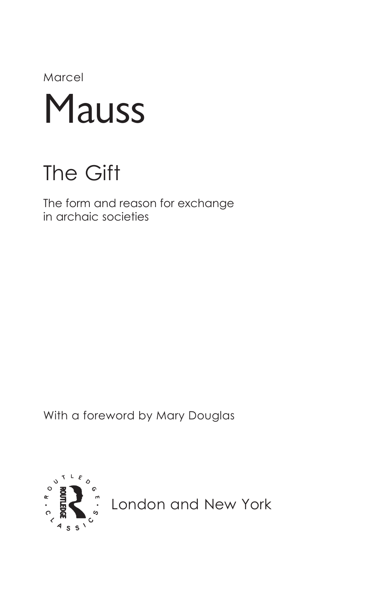Marcel



## The Gift

The form and reason for exchange in archaic societies

With a foreword by Mary Douglas



London and New York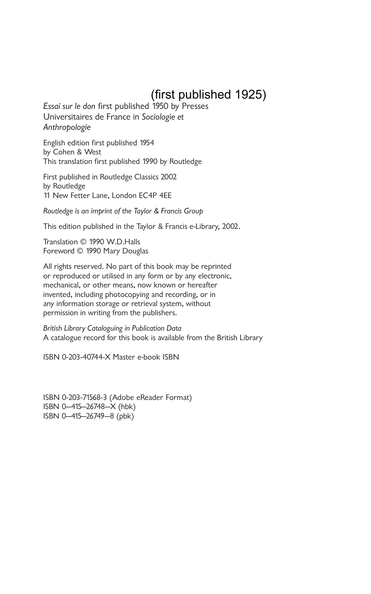## (first published 1925)

*Essai sur le don* first published 1950 by Presses Universitaires de France in *Sociologie et Anthropologie*

English edition first published 1954 by Cohen & West This translation first published 1990 by Routledge

First published in Routledge Classics 2002 by Routledge 11 New Fetter Lane, London EC4P 4EE

*Routledge is an imprint of the Taylor & Francis Group*

This edition published in the Taylor & Francis e-Library, 2002.

Translation © 1990 W.D.Halls Foreword © 1990 Mary Douglas

All rights reserved. No part of this book may be reprinted or reproduced or utilised in any form or by any electronic, mechanical, or other means, now known or hereafter invented, including photocopying and recording, or in any information storage or retrieval system, without permission in writing from the publishers.

*British Library Cataloguing in Publication Data* A catalogue record for this book is available from the British Library

ISBN 0-203-40744-X Master e-book ISBN

ISBN 0-203-71568-3 (Adobe eReader Format) ISBN 0–415–26748–X (hbk) ISBN 0–415–26749–8 (pbk)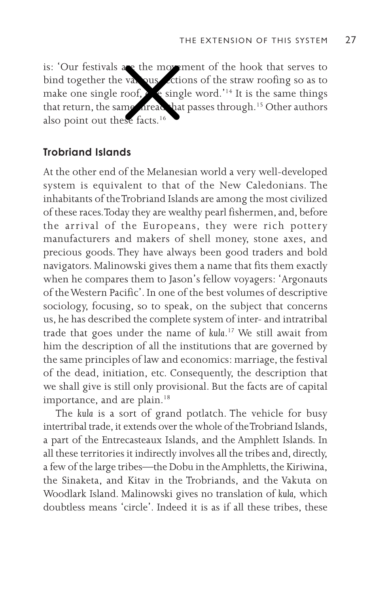is: 'Our festivals are the movement of the hook that serves to bind together the various sections of the straw roofing so as to make one single roof,  $\rho$  e single word.'<sup>14</sup> It is the same things that return, the same aread that passes through.<sup>15</sup> Other authors also point out these facts.<sup>16</sup>

## **Trobriand Islands**

At the other end of the Melanesian world a very well-developed system is equivalent to that of the New Caledonians. The inhabitants of the Trobriand Islands are among the most civilized of these races. Today they are wealthy pearl fishermen, and, before the arrival of the Europeans, they were rich pottery manufacturers and makers of shell money, stone axes, and precious goods. They have always been good traders and bold navigators. Malinowski gives them a name that fits them exactly when he compares them to Jason's fellow voyagers: 'Argonauts of the Western Pacific'. In one of the best volumes of descriptive sociology, focusing, so to speak, on the subject that concerns us, he has described the complete system of inter- and intratribal trade that goes under the name of *kula*. 17 We still await from him the description of all the institutions that are governed by the same principles of law and economics: marriage, the festival of the dead, initiation, etc. Consequently, the description that we shall give is still only provisional. But the facts are of capital importance, and are plain.<sup>18</sup>

The *kula* is a sort of grand potlatch. The vehicle for busy intertribal trade, it extends over the whole of the Trobriand Islands, a part of the Entrecasteaux Islands, and the Amphlett Islands. In all these territories it indirectly involves all the tribes and, directly, a few of the large tribes—the Dobu in the Amphletts, the Kiriwina, the Sinaketa, and Kitav in the Trobriands, and the Vakuta on Woodlark Island. Malinowski gives no translation of *kula,* which doubtless means 'circle'. Indeed it is as if all these tribes, these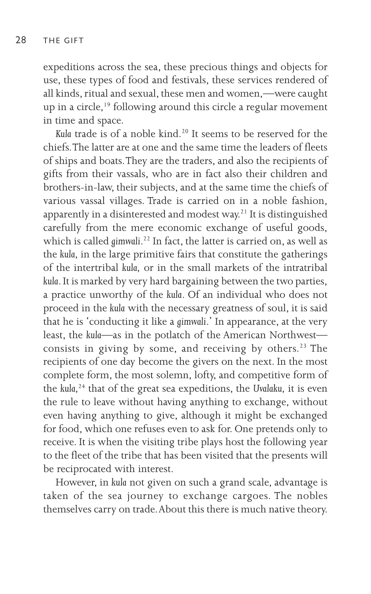expeditions across the sea, these precious things and objects for use, these types of food and festivals, these services rendered of all kinds, ritual and sexual, these men and women,—were caught up in a circle,<sup>19</sup> following around this circle a regular movement in time and space.

Kula trade is of a noble kind.<sup>20</sup> It seems to be reserved for the chiefs. The latter are at one and the same time the leaders of fleets of ships and boats. They are the traders, and also the recipients of gifts from their vassals, who are in fact also their children and brothers-in-law, their subjects, and at the same time the chiefs of various vassal villages. Trade is carried on in a noble fashion, apparently in a disinterested and modest way.<sup>21</sup> It is distinguished carefully from the mere economic exchange of useful goods, which is called *gimwali*. 22 In fact, the latter is carried on, as well as the *kula,* in the large primitive fairs that constitute the gatherings of the intertribal *kula,* or in the small markets of the intratribal *kula*. It is marked by very hard bargaining between the two parties, a practice unworthy of the *kula*. Of an individual who does not proceed in the *kula* with the necessary greatness of soul, it is said that he is 'conducting it like a *gimwali*.' In appearance, at the very least, the *kula*—as in the potlatch of the American Northwest consists in giving by some, and receiving by others.<sup>23</sup> The recipients of one day become the givers on the next. In the most complete form, the most solemn, lofty, and competitive form of the *kula,*24 that of the great sea expeditions, the *Uvalaku,* it is even the rule to leave without having anything to exchange, without even having anything to give, although it might be exchanged for food, which one refuses even to ask for. One pretends only to receive. It is when the visiting tribe plays host the following year to the fleet of the tribe that has been visited that the presents will be reciprocated with interest.

However, in *kula* not given on such a grand scale, advantage is taken of the sea journey to exchange cargoes. The nobles themselves carry on trade. About this there is much native theory.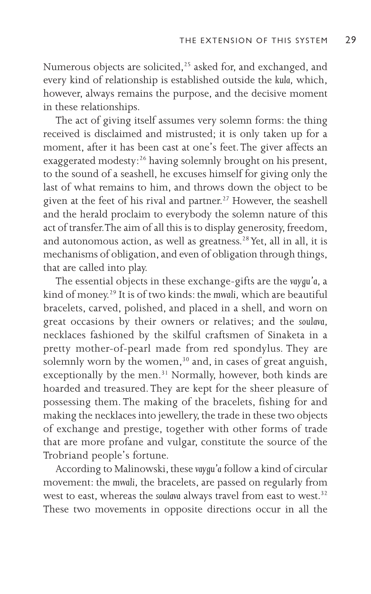Numerous objects are solicited,<sup>25</sup> asked for, and exchanged, and every kind of relationship is established outside the *kula,* which, however, always remains the purpose, and the decisive moment in these relationships.

The act of giving itself assumes very solemn forms: the thing received is disclaimed and mistrusted; it is only taken up for a moment, after it has been cast at one's feet. The giver affects an exaggerated modesty:<sup>26</sup> having solemnly brought on his present, to the sound of a seashell, he excuses himself for giving only the last of what remains to him, and throws down the object to be given at the feet of his rival and partner.<sup>27</sup> However, the seashell and the herald proclaim to everybody the solemn nature of this act of transfer. The aim of all this is to display generosity, freedom, and autonomous action, as well as greatness.<sup>28</sup> Yet, all in all, it is mechanisms of obligation, and even of obligation through things, that are called into play.

The essential objects in these exchange-gifts are the *vaygu'a,* a kind of money.29 It is of two kinds: the *mwali,* which are beautiful bracelets, carved, polished, and placed in a shell, and worn on great occasions by their owners or relatives; and the *soulava,* necklaces fashioned by the skilful craftsmen of Sinaketa in a pretty mother-of-pearl made from red spondylus. They are solemnly worn by the women, $30$  and, in cases of great anguish, exceptionally by the men.<sup>31</sup> Normally, however, both kinds are hoarded and treasured. They are kept for the sheer pleasure of possessing them. The making of the bracelets, fishing for and making the necklaces into jewellery, the trade in these two objects of exchange and prestige, together with other forms of trade that are more profane and vulgar, constitute the source of the Trobriand people's fortune.

According to Malinowski, these *vaygu'a* follow a kind of circular movement: the *mwali,* the bracelets, are passed on regularly from west to east, whereas the *soulava* always travel from east to west.<sup>32</sup> These two movements in opposite directions occur in all the